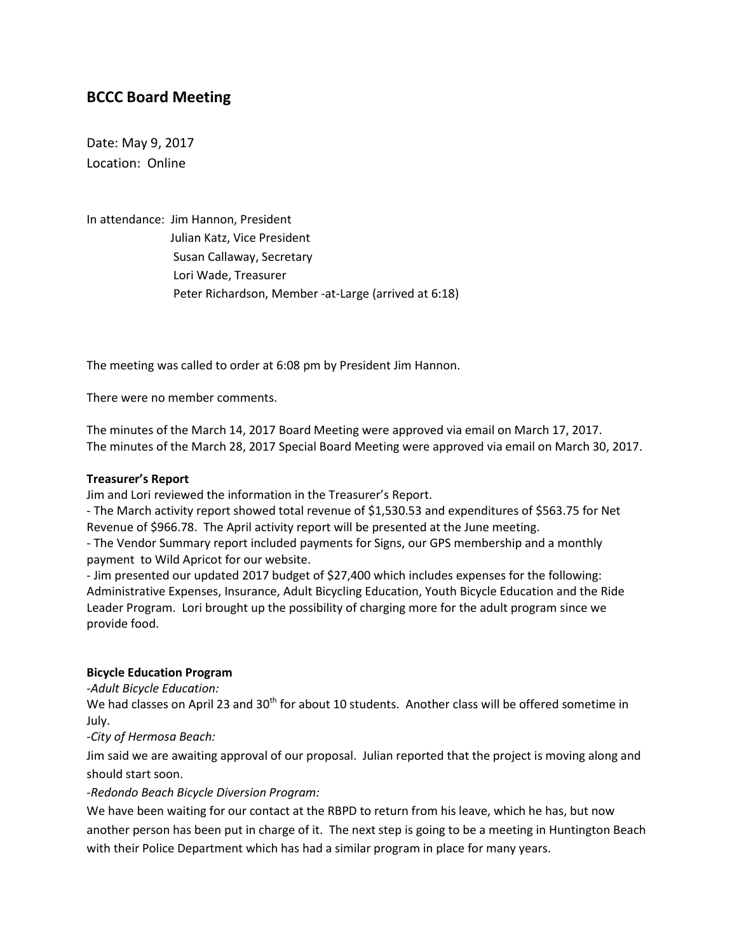# **BCCC Board Meeting**

Date: May 9, 2017 Location: Online

In attendance: Jim Hannon, President Julian Katz, Vice President Susan Callaway, Secretary Lori Wade, Treasurer Peter Richardson, Member -at-Large (arrived at 6:18)

The meeting was called to order at 6:08 pm by President Jim Hannon.

There were no member comments.

The minutes of the March 14, 2017 Board Meeting were approved via email on March 17, 2017. The minutes of the March 28, 2017 Special Board Meeting were approved via email on March 30, 2017.

#### **Treasurer's Report**

Jim and Lori reviewed the information in the Treasurer's Report.

- The March activity report showed total revenue of \$1,530.53 and expenditures of \$563.75 for Net Revenue of \$966.78. The April activity report will be presented at the June meeting.

- The Vendor Summary report included payments for Signs, our GPS membership and a monthly payment to Wild Apricot for our website.

- Jim presented our updated 2017 budget of \$27,400 which includes expenses for the following: Administrative Expenses, Insurance, Adult Bicycling Education, Youth Bicycle Education and the Ride Leader Program. Lori brought up the possibility of charging more for the adult program since we provide food.

#### **Bicycle Education Program**

*-Adult Bicycle Education:*

We had classes on April 23 and  $30<sup>th</sup>$  for about 10 students. Another class will be offered sometime in July.

*-City of Hermosa Beach:*

Jim said we are awaiting approval of our proposal. Julian reported that the project is moving along and should start soon.

*-Redondo Beach Bicycle Diversion Program:*

We have been waiting for our contact at the RBPD to return from his leave, which he has, but now another person has been put in charge of it. The next step is going to be a meeting in Huntington Beach with their Police Department which has had a similar program in place for many years.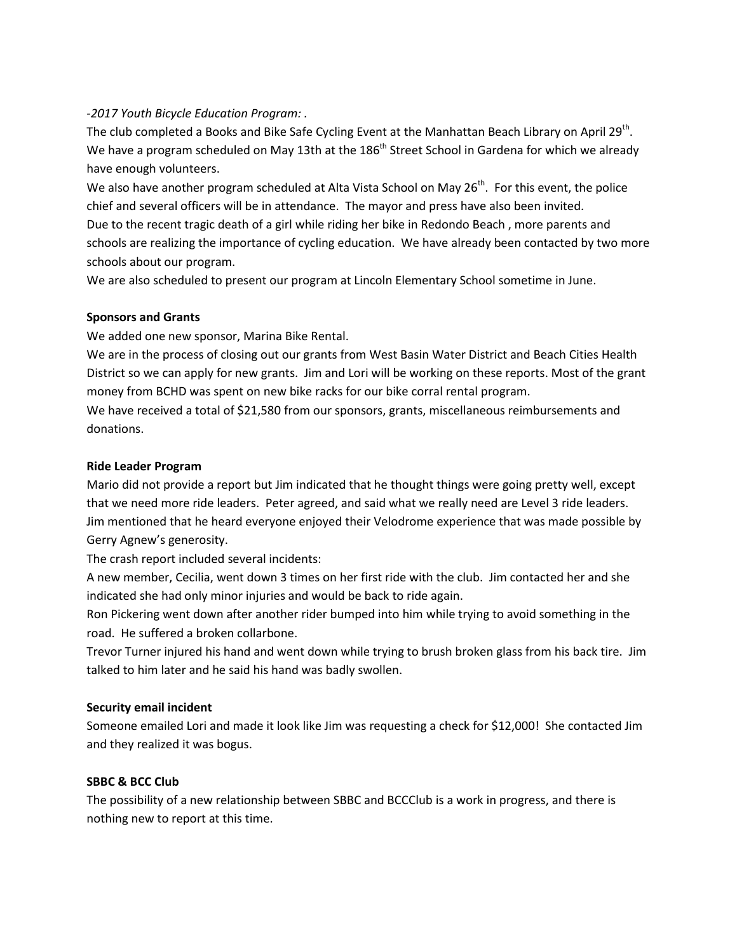## *-2017 Youth Bicycle Education Program: .*

The club completed a Books and Bike Safe Cycling Event at the Manhattan Beach Library on April 29<sup>th</sup>. We have a program scheduled on May 13th at the 186<sup>th</sup> Street School in Gardena for which we already have enough volunteers.

We also have another program scheduled at Alta Vista School on May 26<sup>th</sup>. For this event, the police chief and several officers will be in attendance. The mayor and press have also been invited. Due to the recent tragic death of a girl while riding her bike in Redondo Beach , more parents and schools are realizing the importance of cycling education. We have already been contacted by two more schools about our program.

We are also scheduled to present our program at Lincoln Elementary School sometime in June.

## **Sponsors and Grants**

We added one new sponsor, Marina Bike Rental.

We are in the process of closing out our grants from West Basin Water District and Beach Cities Health District so we can apply for new grants. Jim and Lori will be working on these reports. Most of the grant money from BCHD was spent on new bike racks for our bike corral rental program.

We have received a total of \$21,580 from our sponsors, grants, miscellaneous reimbursements and donations.

#### **Ride Leader Program**

Mario did not provide a report but Jim indicated that he thought things were going pretty well, except that we need more ride leaders. Peter agreed, and said what we really need are Level 3 ride leaders. Jim mentioned that he heard everyone enjoyed their Velodrome experience that was made possible by Gerry Agnew's generosity.

The crash report included several incidents:

A new member, Cecilia, went down 3 times on her first ride with the club. Jim contacted her and she indicated she had only minor injuries and would be back to ride again.

Ron Pickering went down after another rider bumped into him while trying to avoid something in the road. He suffered a broken collarbone.

Trevor Turner injured his hand and went down while trying to brush broken glass from his back tire. Jim talked to him later and he said his hand was badly swollen.

#### **Security email incident**

Someone emailed Lori and made it look like Jim was requesting a check for \$12,000! She contacted Jim and they realized it was bogus.

#### **SBBC & BCC Club**

The possibility of a new relationship between SBBC and BCCClub is a work in progress, and there is nothing new to report at this time.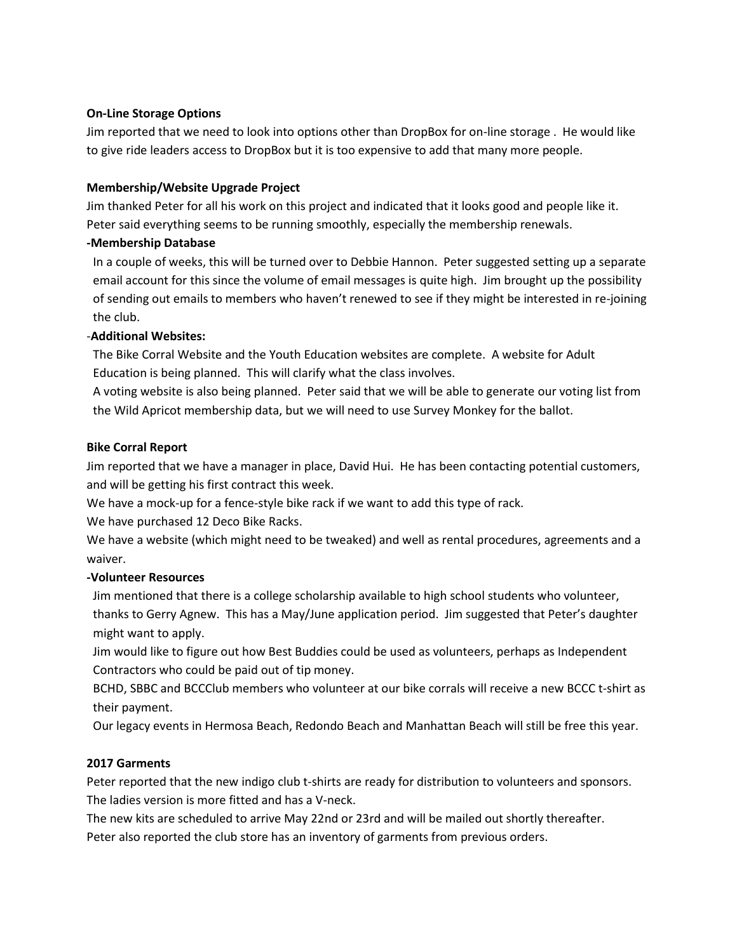## **On-Line Storage Options**

Jim reported that we need to look into options other than DropBox for on-line storage . He would like to give ride leaders access to DropBox but it is too expensive to add that many more people.

## **Membership/Website Upgrade Project**

Jim thanked Peter for all his work on this project and indicated that it looks good and people like it. Peter said everything seems to be running smoothly, especially the membership renewals.

## **-Membership Database**

In a couple of weeks, this will be turned over to Debbie Hannon. Peter suggested setting up a separate email account for this since the volume of email messages is quite high. Jim brought up the possibility of sending out emails to members who haven't renewed to see if they might be interested in re-joining the club.

# -**Additional Websites:**

The Bike Corral Website and the Youth Education websites are complete. A website for Adult Education is being planned. This will clarify what the class involves.

A voting website is also being planned. Peter said that we will be able to generate our voting list from the Wild Apricot membership data, but we will need to use Survey Monkey for the ballot.

## **Bike Corral Report**

Jim reported that we have a manager in place, David Hui. He has been contacting potential customers, and will be getting his first contract this week.

We have a mock-up for a fence-style bike rack if we want to add this type of rack.

We have purchased 12 Deco Bike Racks.

We have a website (which might need to be tweaked) and well as rental procedures, agreements and a waiver.

# **-Volunteer Resources**

Jim mentioned that there is a college scholarship available to high school students who volunteer, thanks to Gerry Agnew. This has a May/June application period. Jim suggested that Peter's daughter might want to apply.

Jim would like to figure out how Best Buddies could be used as volunteers, perhaps as Independent Contractors who could be paid out of tip money.

BCHD, SBBC and BCCClub members who volunteer at our bike corrals will receive a new BCCC t-shirt as their payment.

Our legacy events in Hermosa Beach, Redondo Beach and Manhattan Beach will still be free this year.

# **2017 Garments**

Peter reported that the new indigo club t-shirts are ready for distribution to volunteers and sponsors. The ladies version is more fitted and has a V-neck.

The new kits are scheduled to arrive May 22nd or 23rd and will be mailed out shortly thereafter. Peter also reported the club store has an inventory of garments from previous orders.